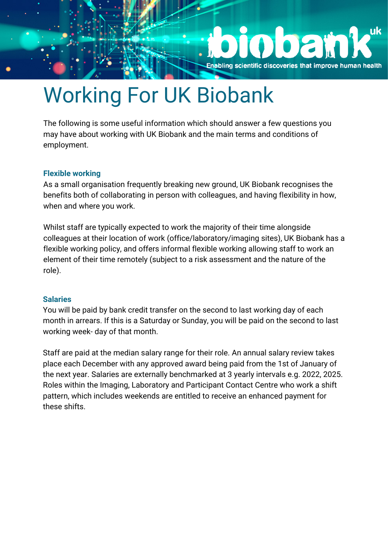

# Working For UK Biobank

The following is some useful information which should answer a few questions you may have about working with UK Biobank and the main terms and conditions of employment.

## **Flexible working**

As a small organisation frequently breaking new ground, UK Biobank recognises the benefits both of collaborating in person with colleagues, and having flexibility in how, when and where you work.

Whilst staff are typically expected to work the majority of their time alongside colleagues at their location of work (office/laboratory/imaging sites), UK Biobank has a flexible working policy, and offers informal flexible working allowing staff to work an element of their time remotely (subject to a risk assessment and the nature of the role).

## **Salaries**

You will be paid by bank credit transfer on the second to last working day of each month in arrears. If this is a Saturday or Sunday, you will be paid on the second to last working week- day of that month.

Staff are paid at the median salary range for their role. An annual salary review takes place each December with any approved award being paid from the 1st of January of the next year. Salaries are externally benchmarked at 3 yearly intervals e.g. 2022, 2025. Roles within the Imaging, Laboratory and Participant Contact Centre who work a shift pattern, which includes weekends are entitled to receive an enhanced payment for these shifts.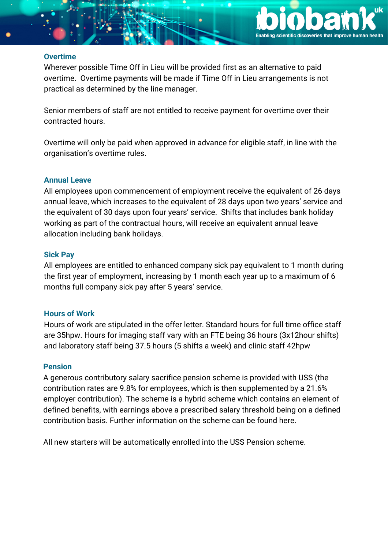

#### **Overtime**

Wherever possible Time Off in Lieu will be provided first as an alternative to paid overtime. Overtime payments will be made if Time Off in Lieu arrangements is not practical as determined by the line manager.

Senior members of staff are not entitled to receive payment for overtime over their contracted hours.

Overtime will only be paid when approved in advance for eligible staff, in line with the organisation's overtime rules.

## **Annual Leave**

All employees upon commencement of employment receive the equivalent of 26 days annual leave, which increases to the equivalent of 28 days upon two years' service and the equivalent of 30 days upon four years' service. Shifts that includes bank holiday working as part of the contractual hours, will receive an equivalent annual leave allocation including bank holidays.

## **Sick Pay**

All employees are entitled to enhanced company sick pay equivalent to 1 month during the first year of employment, increasing by 1 month each year up to a maximum of 6 months full company sick pay after 5 years' service.

## **Hours of Work**

Hours of work are stipulated in the offer letter. Standard hours for full time office staff are 35hpw. Hours for imaging staff vary with an FTE being 36 hours (3x12hour shifts) and laboratory staff being 37.5 hours (5 shifts a week) and clinic staff 42hpw

## **Pension**

A generous contributory salary sacrifice pension scheme is provided with USS (the contribution rates are 9.8% for employees, which is then supplemented by a 21.6% employer contribution). The scheme is a hybrid scheme which contains an element of defined benefits, with earnings above a prescribed salary threshold being on a defined contribution basis. Further information on the scheme can be found [here.](https://www.uss.co.uk/for-members/youre-a-new-joiner/a-pensions-overview)

All new starters will be automatically enrolled into the USS Pension scheme.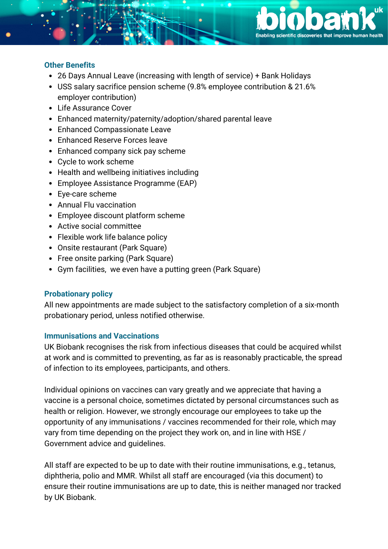

## **Other Benefits**

- 26 Days Annual Leave (increasing with length of service) + Bank Holidays
- USS salary sacrifice pension scheme (9.8% employee contribution & 21.6% employer contribution)
- Life Assurance Cover
- Enhanced maternity/paternity/adoption/shared parental leave
- Enhanced Compassionate Leave
- Enhanced Reserve Forces leave
- Enhanced company sick pay scheme
- Cycle to work scheme
- Health and wellbeing initiatives including
- Employee Assistance Programme (EAP)
- Eye-care scheme
- Annual Flu vaccination
- Employee discount platform scheme
- Active social committee
- Flexible work life balance policy
- Onsite restaurant (Park Square)
- Free onsite parking (Park Square)
- Gym facilities, we even have a putting green (Park Square)

## **Probationary policy**

All new appointments are made subject to the satisfactory completion of a six-month probationary period, unless notified otherwise.

## **Immunisations and Vaccinations**

UK Biobank recognises the risk from infectious diseases that could be acquired whilst at work and is committed to preventing, as far as is reasonably practicable, the spread of infection to its employees, participants, and others.

Individual opinions on vaccines can vary greatly and we appreciate that having a vaccine is a personal choice, sometimes dictated by personal circumstances such as health or religion. However, we strongly encourage our employees to take up the opportunity of any immunisations / vaccines recommended for their role, which may vary from time depending on the project they work on, and in line with HSE / Government advice and guidelines.

All staff are expected to be up to date with their routine immunisations, e.g., tetanus, diphtheria, polio and MMR. Whilst all staff are encouraged (via this document) to ensure their routine immunisations are up to date, this is neither managed nor tracked by UK Biobank.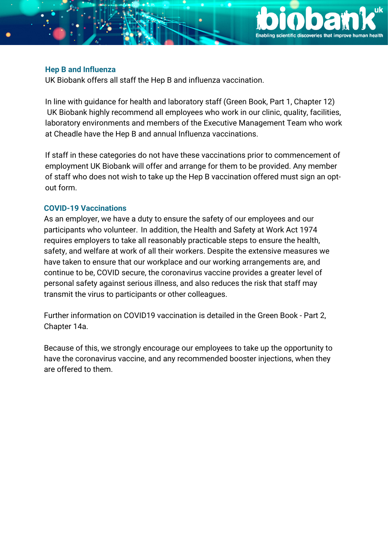

#### **Hep B and Influenza**

UK Biobank offers all staff the Hep B and influenza vaccination.

In line with guidance for health and laboratory staff (Green Book, Part 1, Chapter 12) UK Biobank highly recommend all employees who work in our clinic, quality, facilities, laboratory environments and members of the Executive Management Team who work at Cheadle have the Hep B and annual Influenza vaccinations.

If staff in these categories do not have these vaccinations prior to commencement of employment UK Biobank will offer and arrange for them to be provided. Any member of staff who does not wish to take up the Hep B vaccination offered must sign an optout form.

## **COVID-19 Vaccinations**

As an employer, we have a duty to ensure the safety of our employees and our participants who volunteer. In addition, the Health and Safety at Work Act 1974 requires employers to take all reasonably practicable steps to ensure the health, safety, and welfare at work of all their workers. Despite the extensive measures we have taken to ensure that our workplace and our working arrangements are, and continue to be, COVID secure, the coronavirus vaccine provides a greater level of personal safety against serious illness, and also reduces the risk that staff may transmit the virus to participants or other colleagues.

Further information on COVID19 vaccination is detailed in the Green Book - Part 2, Chapter 14a.

Because of this, we strongly encourage our employees to take up the opportunity to have the coronavirus vaccine, and any recommended booster injections, when they are offered to them.